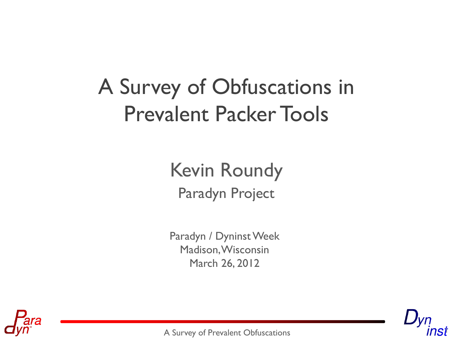# A Survey of Obfuscations in Prevalent Packer Tools

#### Paradyn Project Kevin Roundy

Paradyn / Dyninst Week Madison, Wisconsin March 26, 2012



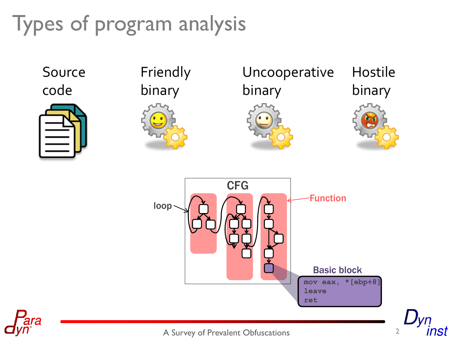# Types of program analysis





Friendly binary



Uncooperative binary





nst



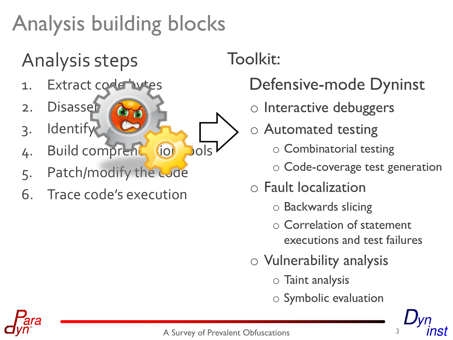# Analysis building blocks

## Analysis steps

- 1. Extract code bytes
- 2. Disasser
- 3. Identify
- 4. Build comprent (io) bols
- 5. Patch/modify the code
- 6. Trace code's execution

Toolkit:

#### Defensive-mode Dyninst

- o Interactive debuggers
- $\circ$  Automated testing
	- o<br>o Combinatorial testing o Combinatorial testing
- o Code-coverage test generation
- $\circ$  Fault localization
	- o Poelaugude elicing  $\epsilon$ o Backwards slicing
- o Vulnerability analysis executions and test failures o Correlation of statement
- o Vulnerability analysis
	- $\overline{S}$  Teint evaluation o Taint analysis
	- o Symbolic evaluation

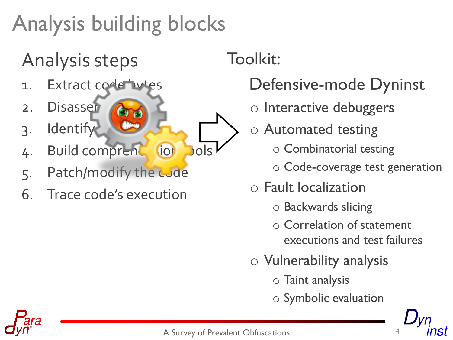# Analysis building blocks

## Analysis steps

- 1. Extract code bytes
- 2. Disasser
- 3. Identify
- 4. Build comprent (io) bols
- 5. Patch/modify the code
- 6. Trace code's execution

Toolkit:

#### Defensive-mode Dyninst

- o Interactive debuggers
- o Automated testing
	- o Combinatorial testing
	- o Code-coverage test generation
- o Fault localization
	- o Backwards slicing
	- o Correlation of statement executions and test failures
- o Vulnerability analysis
	- o Taint analysis
	- o Symbolic evaluation

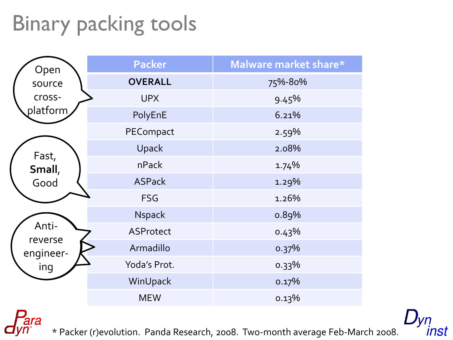# Binary packing tools

ara

| Open             | <b>Packer</b>  | Malware market share* |
|------------------|----------------|-----------------------|
| source           | <b>OVERALL</b> | 75%-80%               |
| cross-           | <b>UPX</b>     | 9.45%                 |
| platform         | PolyEnE        | 6.21%                 |
|                  | PECompact      | 2.59%                 |
| Fast,            | Upack          | 2.08%                 |
| Small,           | nPack          | 1.74%                 |
| Good             | <b>ASPack</b>  | 1.29%                 |
|                  | <b>FSG</b>     | 1.26%                 |
|                  | Nspack         | 0.89%                 |
| Anti-<br>reverse | ASProtect      | 0.43%                 |
| engineer-        | Armadillo      | 0.37%                 |
| ing              | Yoda's Prot.   | 0.33%                 |
|                  | WinUpack       | 0.17%                 |
|                  | <b>MEW</b>     | 0.13%                 |

inst

\* Packer (r)evolution. Panda Research, 2008. Two-month average Feb-March 2008.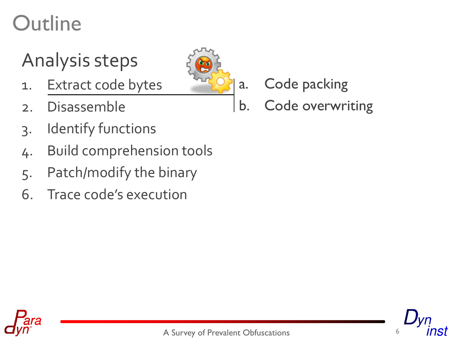#### Analysis steps

- 1. Extract code bytes
- 2. Disassemble
- 3. Identify functions
- 4. Build comprehension tools
- 5. Patch/modify the binary
- 6. Trace code's execution



- a. Code packing
- b. Code overwriting



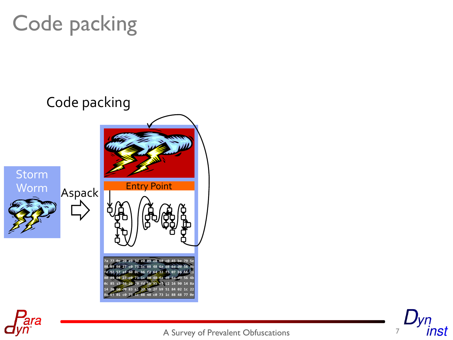





A Survey of Prevalent Obfuscations 7

# Code packing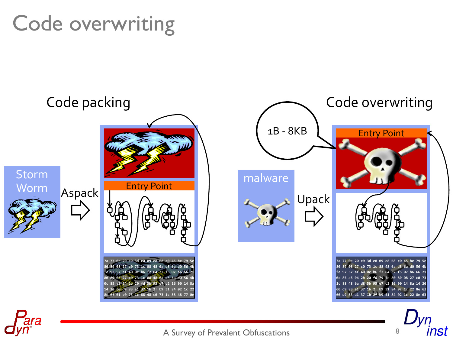## Code overwriting



A Survey of Prevalent Obfuscations 8

inst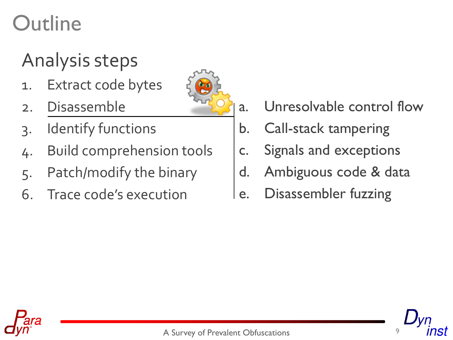#### Analysis steps

- 1. Extract code bytes
- 2. Disassemble
- 3. Identify functions
- 4. Build comprehension tools
- 5. Patch/modify the binary
- 6. Trace code's execution
- a. Unresolvable control flow
- b. Call-stack tampering
- c. Signals and exceptions
- d. Ambiguous code & data
- e. Disassembler fuzzing



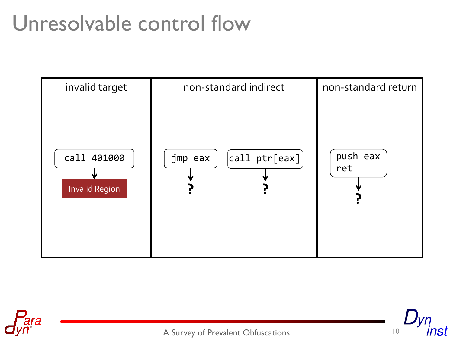## Unresolvable control flow





nst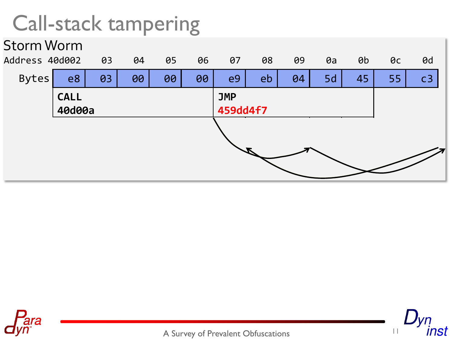#### Call-stack tampering





nst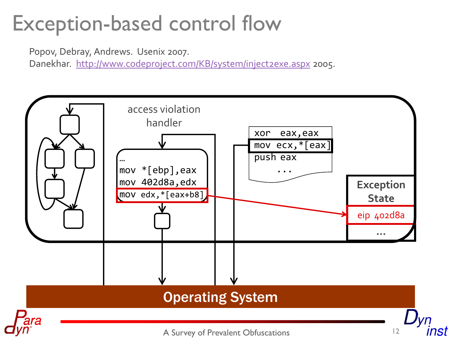## Exception-based control flow

Popov, Debray, Andrews. Usenix 2007.

Danekhar. <http://www.codeproject.com/KB/system/inject2exe.aspx> 2005.

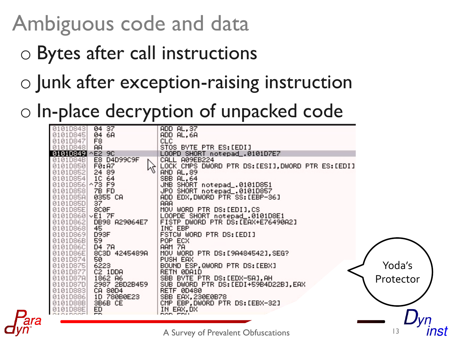# Ambiguous code and data

- o Bytes after call instructions
- o Junk after exception-raising instruction

#### o In-place decryption of unpacked code

| 0101D843 | 04 37                   | ADD AL, 37                                      |           |
|----------|-------------------------|-------------------------------------------------|-----------|
| 01010845 | 04 6A                   | ADD AL,6A                                       |           |
| 0101D847 | F8                      | <b>CLC</b>                                      |           |
| 0101D848 | <b>AA</b>               | STOS BYTE PTR ES: [EDI]                         |           |
| 01010849 | $^{\wedge}$ E2 90       | LOOPD SHORT notepad_.0101D7E7                   |           |
| 0101D84B | E8 D4D99C9F             | CALL A09EB224                                   |           |
| 0101D850 | $\gtrapprox$<br>FØ: A7  | LOCK CMPS DWORD PTR DS:[ESI],DWORD PTR ES:[EDI] |           |
| 0101D852 | 24 89                   | AND AL, 89                                      |           |
| 0101D854 | 1C 64                   | SBB AL, 64                                      |           |
| 0101D856 | $\wedge$ 73 F9          | JNB SHORT notepad_.0101D851                     |           |
| 0101D858 | 7B FD                   | JPO SHORT notepad_.0101D857                     |           |
| 0101D85A | 0355 CA                 | ADD EDX, DWORD PTR SS: [EBP-36]                 |           |
| 0101D85D | 37                      | <b>AAA</b>                                      |           |
| 0101D85E | 8CØF                    | MOV WORD PTR DS: [EDI],CS                       |           |
|          | $0101D860$ $\vee$ E1 7F | LOOPDE SHORT notepad_.0101D8E1                  |           |
| 0101D862 | DB98 A29064E7           | FISTP DWORD PTR DS: LEAX+E76490A2]              |           |
| 0101D868 | 45                      | INC EBP                                         |           |
| 01010869 | D93F                    | FSTCW WORD PTR DS: [EDI]                        |           |
| 0101D86B | 59                      | POP ECX                                         |           |
| 0101D86C | D4 7A                   | <b>AAM 7A</b>                                   |           |
| 0101D86E | 8C3D 4245489A           | MOV WORD PTR DS: [9A484542], SEG?               |           |
| 0101D874 | 50.                     | PUSH EAX                                        |           |
| 0101D875 | 6223                    | BOUND ESP, QWORD PTR DS: [EBX]                  | Yoda's    |
| 0101D877 | C2 1DDA                 | RETN 0DA1D                                      |           |
| 0101D87A | 1862 A6                 | SBB BYTE PTR DS: [EDX-5A], AH                   | Protector |
| 0101D87D | 2987 2BD2B459           | SUB-<br>DWORD PTR DS:[EDI+59B4D22B],EAX         |           |
| 0101D883 | CA 80D4                 | <b>RETF 0D480</b>                               |           |
| 01010886 | 1D 780B0E23             | SBB EAX, 230E0B78                               |           |
| 0101D88B | SB6B CE                 | CMP EBP, DWORD PTR DS: [EBX-32]                 |           |
| 0101D88E | 띘                       | IN EAX, DX                                      |           |
|          |                         |                                                 |           |

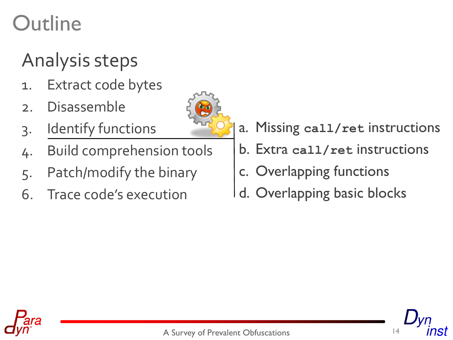#### Analysis steps

- 1. Extract code bytes
- 2. Disassemble
- 3. Identify functions
- 4. Build comprehension tools
- 5. Patch/modify the binary
- 6. Trace code's execution
- a. Missing **call/ret** instructions
- b. Extra **call/ret** instructions
- c. Overlapping functions
- d. Overlapping basic blocks



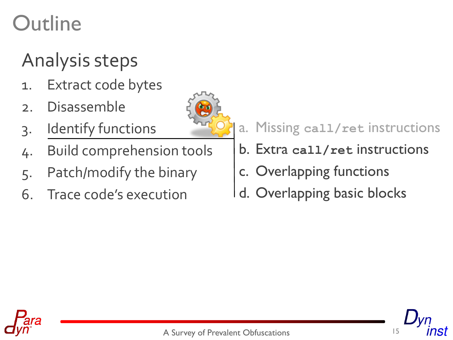#### Analysis steps

- 1. Extract code bytes
- 2. Disassemble
- 3. Identify functions
- 4. Build comprehension tools
- 5. Patch/modify the binary
- 6. Trace code's execution



#### a. Missing **call/ret** instructions

- b. Extra **call/ret** instructions
- c. Overlapping functions
- d. Overlapping basic blocks



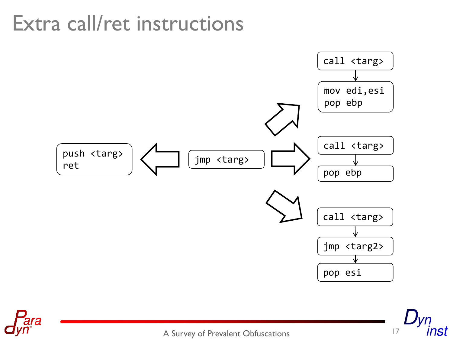#### Extra call/ret instructions





A Survey of Prevalent Obfuscations 17

ınst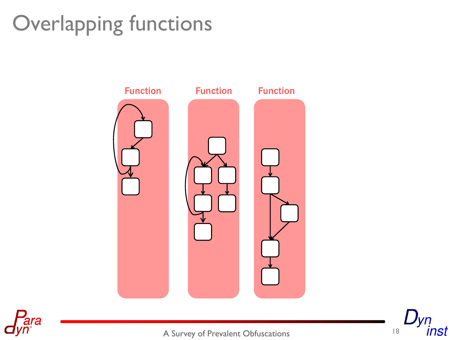# Overlapping functions





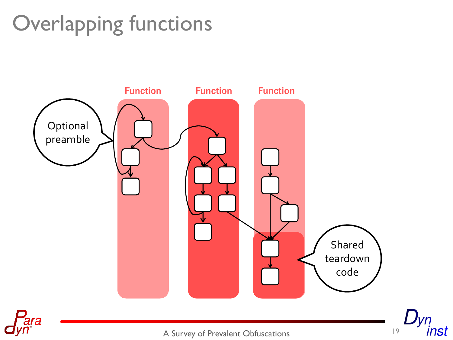# Overlapping functions





A Survey of Prevalent Obfuscations 19

inst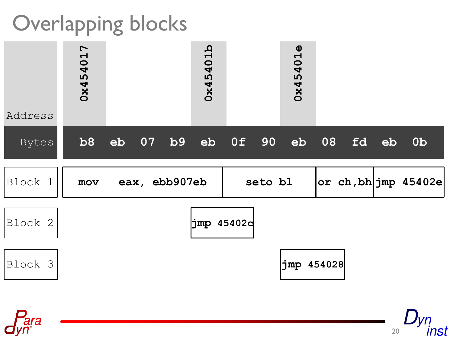#### Overlapping blocks

| Address | <b>0x454017</b> |  |                                                  |  | 0x45401b    |         |  | 0x45401e   |    |     |    |                                |
|---------|-----------------|--|--------------------------------------------------|--|-------------|---------|--|------------|----|-----|----|--------------------------------|
| Bytes   | b8              |  | $\overline{{\rm \textbf{e}}{\rm \textbf{b}}}$ 07 |  | b9 eb 0f 90 |         |  | eb         | 08 | f d | eb | 0 <sub>b</sub>                 |
| Block 1 | mov             |  | eax, ebb907eb                                    |  |             | seto bl |  |            |    |     |    | $ or \; ch, bh jmp \; 45402e $ |
| Block 2 | jmp 45402d      |  |                                                  |  |             |         |  |            |    |     |    |                                |
| Block 3 |                 |  |                                                  |  |             |         |  | jmp 454028 |    |     |    |                                |



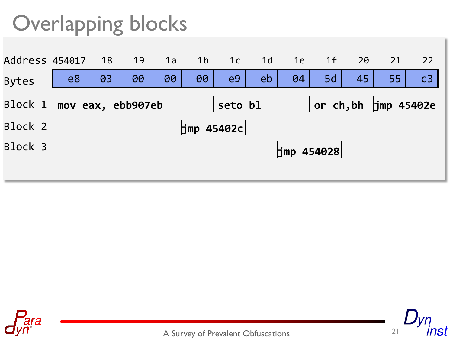## Overlapping blocks





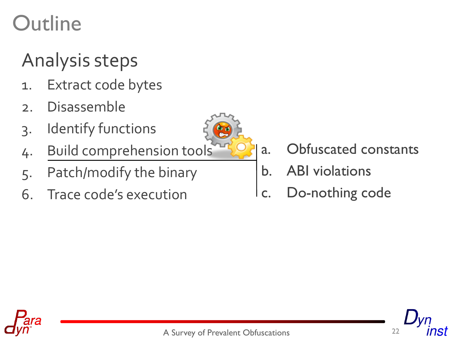#### Analysis steps

- 1. Extract code bytes
- 2. Disassemble
- 3. Identify functions
- 4. Build comprehension tools
- 5. Patch/modify the binary
- 6. Trace code's execution



- a. Obfuscated constants
- b. ABI violations
- c. Do-nothing code



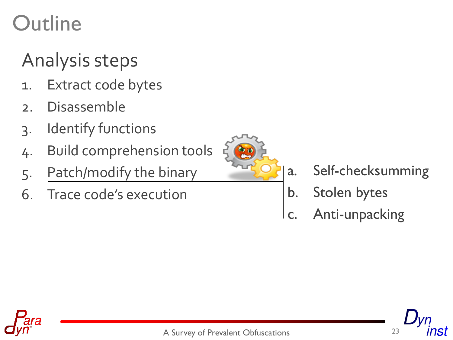#### Analysis steps

- 1. Extract code bytes
- 2. Disassemble
- 3. Identify functions
- 4. Build comprehension tools
- 5. Patch/modify the binary
- 6. Trace code's execution



- a. Self-checksumming
- b. Stolen bytes
- c. Anti-unpacking



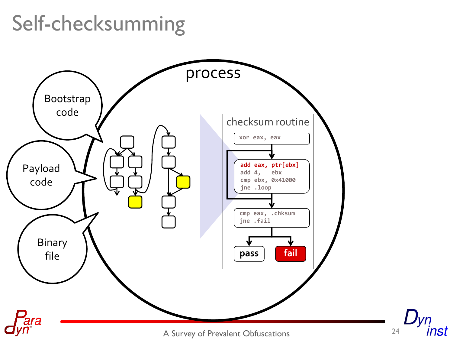## Self-checksumming



inst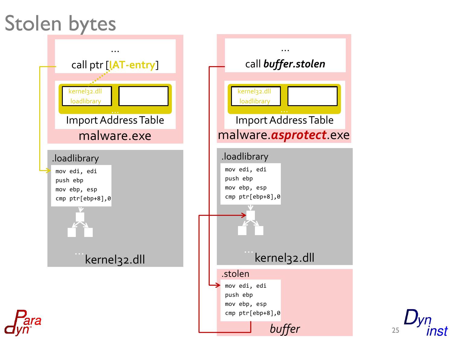#### Stolen bytes



25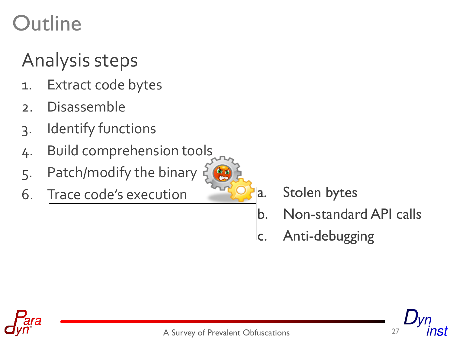#### Analysis steps

- 1. Extract code bytes
- 2. Disassemble
- 3. Identify functions
- 4. Build comprehension tools
- 5. Patch/modify the binary
- 6. Trace code's execution

a. Stolen bytes

- b. Non-standard API calls
- lc. Anti-debugging

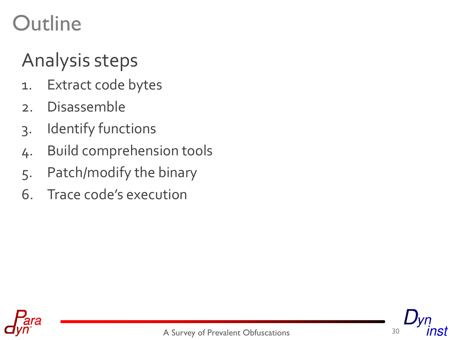#### Analysis steps

- 1. Extract code bytes
- 2. Disassemble
- 3. Identify functions
- 4. Build comprehension tools
- 5. Patch/modify the binary
- 6. Trace code's execution



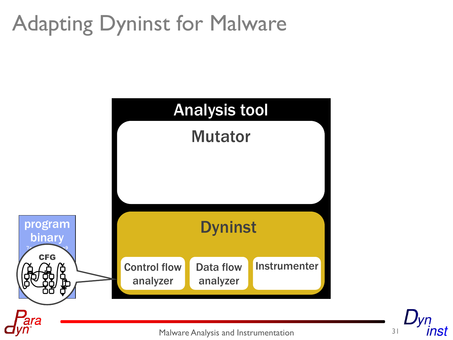# Adapting Dyninst for Malware



Malware Analysis and Instrumentation 31

nst